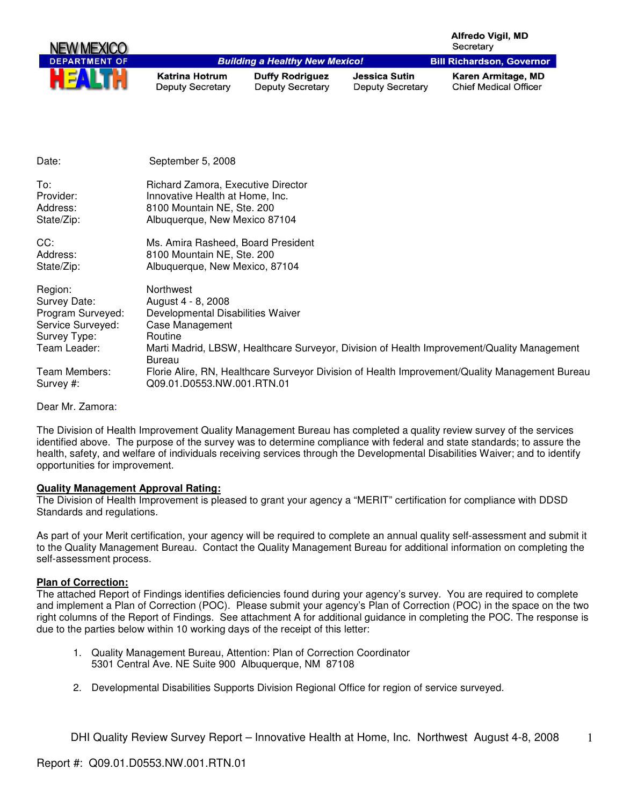| <b>NEW MEXICO</b>    |                                                  |                                                   |                                                 | <b>Alfredo Vigil, MD</b><br>Secretary              |
|----------------------|--------------------------------------------------|---------------------------------------------------|-------------------------------------------------|----------------------------------------------------|
| <b>DEPARTMENT OF</b> |                                                  | <b>Building a Healthy New Mexico!</b>             |                                                 | <b>Bill Richardson, Governor</b>                   |
| HE                   | <b>Katrina Hotrum</b><br><b>Deputy Secretary</b> | <b>Duffy Rodriguez</b><br><b>Deputy Secretary</b> | <b>Jessica Sutin</b><br><b>Deputy Secretary</b> | Karen Armitage, MD<br><b>Chief Medical Officer</b> |

| Date:                      | September 5, 2008                                                                                                                      |
|----------------------------|----------------------------------------------------------------------------------------------------------------------------------------|
| To:                        | Richard Zamora, Executive Director                                                                                                     |
| Provider:                  | Innovative Health at Home, Inc.                                                                                                        |
| Address:                   | 8100 Mountain NE, Ste. 200                                                                                                             |
| State/Zip:                 | Albuquerque, New Mexico 87104                                                                                                          |
| CC:                        | Ms. Amira Rasheed, Board President                                                                                                     |
| Address:                   | 8100 Mountain NE, Ste. 200                                                                                                             |
| State/Zip:                 | Albuquerque, New Mexico, 87104                                                                                                         |
| Region:                    | Northwest                                                                                                                              |
| Survey Date:               | August 4 - 8, 2008                                                                                                                     |
| Program Surveyed:          | Developmental Disabilities Waiver                                                                                                      |
| Service Surveyed:          | Case Management                                                                                                                        |
| Survey Type:               | Routine                                                                                                                                |
| Team Leader:               | Marti Madrid, LBSW, Healthcare Surveyor, Division of Health Improvement/Quality Management                                             |
| Team Members:<br>Survey #: | Bureau<br>Florie Alire, RN, Healthcare Surveyor Division of Health Improvement/Quality Management Bureau<br>Q09.01.D0553.NW.001.RTN.01 |

Dear Mr. Zamora:

The Division of Health Improvement Quality Management Bureau has completed a quality review survey of the services identified above. The purpose of the survey was to determine compliance with federal and state standards; to assure the health, safety, and welfare of individuals receiving services through the Developmental Disabilities Waiver; and to identify opportunities for improvement.

#### **Quality Management Approval Rating:**

The Division of Health Improvement is pleased to grant your agency a "MERIT" certification for compliance with DDSD Standards and regulations.

As part of your Merit certification, your agency will be required to complete an annual quality self-assessment and submit it to the Quality Management Bureau. Contact the Quality Management Bureau for additional information on completing the self-assessment process.

## **Plan of Correction:**

The attached Report of Findings identifies deficiencies found during your agency's survey. You are required to complete and implement a Plan of Correction (POC). Please submit your agency's Plan of Correction (POC) in the space on the two right columns of the Report of Findings. See attachment A for additional guidance in completing the POC. The response is due to the parties below within 10 working days of the receipt of this letter:

- 1. Quality Management Bureau, Attention: Plan of Correction Coordinator 5301 Central Ave. NE Suite 900 Albuquerque, NM 87108
- 2. Developmental Disabilities Supports Division Regional Office for region of service surveyed.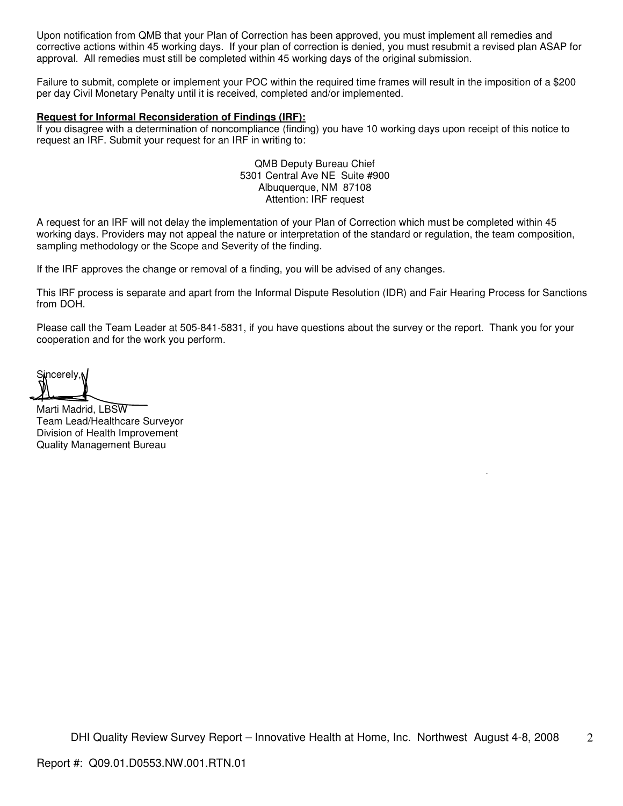Upon notification from QMB that your Plan of Correction has been approved, you must implement all remedies and corrective actions within 45 working days. If your plan of correction is denied, you must resubmit a revised plan ASAP for approval. All remedies must still be completed within 45 working days of the original submission.

Failure to submit, complete or implement your POC within the required time frames will result in the imposition of a \$200 per day Civil Monetary Penalty until it is received, completed and/or implemented.

#### **Request for Informal Reconsideration of Findings (IRF):**

If you disagree with a determination of noncompliance (finding) you have 10 working days upon receipt of this notice to request an IRF. Submit your request for an IRF in writing to:

> QMB Deputy Bureau Chief 5301 Central Ave NE Suite #900 Albuquerque, NM 87108 Attention: IRF request

A request for an IRF will not delay the implementation of your Plan of Correction which must be completed within 45 working days. Providers may not appeal the nature or interpretation of the standard or regulation, the team composition, sampling methodology or the Scope and Severity of the finding.

If the IRF approves the change or removal of a finding, you will be advised of any changes.

This IRF process is separate and apart from the Informal Dispute Resolution (IDR) and Fair Hearing Process for Sanctions from DOH.

Please call the Team Leader at 505-841-5831, if you have questions about the survey or the report. Thank you for your cooperation and for the work you perform.

Sincerely, N

Marti Madrid, LBSW Team Lead/Healthcare Surveyor Division of Health Improvement Quality Management Bureau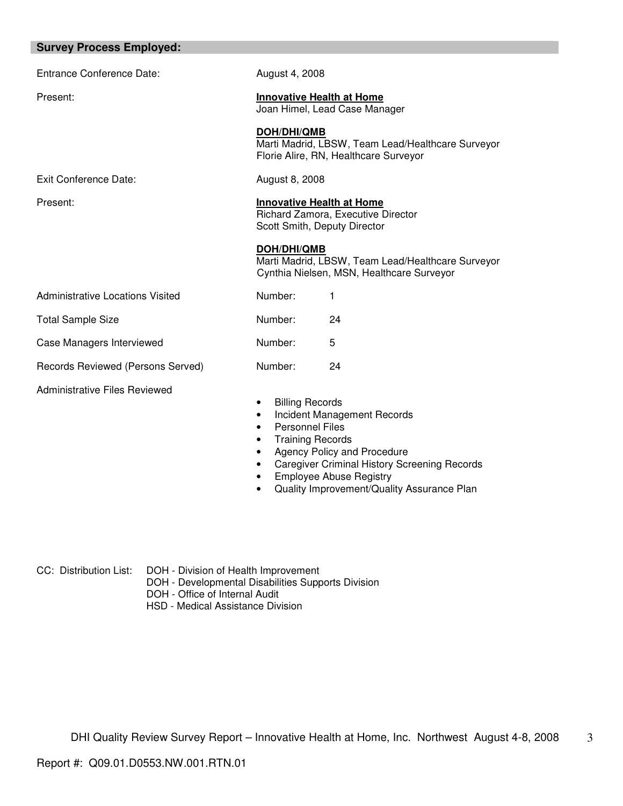| <b>Survey Process Employed:</b> |  |  |
|---------------------------------|--|--|
|---------------------------------|--|--|

| Entrance Conference Date:         | August 4, 2008                                                                                                               |  |
|-----------------------------------|------------------------------------------------------------------------------------------------------------------------------|--|
| Present:                          | <b>Innovative Health at Home</b><br>Joan Himel, Lead Case Manager                                                            |  |
|                                   | DOH/DHI/QMB<br>Marti Madrid, LBSW, Team Lead/Healthcare Surveyor<br>Florie Alire, RN, Healthcare Surveyor                    |  |
| Exit Conference Date:             | August 8, 2008                                                                                                               |  |
| Present:                          | <b>Innovative Health at Home</b><br>Richard Zamora, Executive Director<br>Scott Smith, Deputy Director                       |  |
|                                   | DOH/DHI/QMB<br>Marti Madrid, LBSW, Team Lead/Healthcare Surveyor<br>Cynthia Nielsen, MSN, Healthcare Surveyor                |  |
| Administrative Locations Visited  | Number:<br>1                                                                                                                 |  |
| <b>Total Sample Size</b>          | Number:<br>24                                                                                                                |  |
| Case Managers Interviewed         | Number:<br>5                                                                                                                 |  |
| Records Reviewed (Persons Served) | Number:<br>24                                                                                                                |  |
| Administrative Files Reviewed     | <b>Billing Records</b><br>٠<br>Incident Management Records<br><b>Personnel Files</b><br><b>Training Records</b><br>$\bullet$ |  |

- Agency Policy and Procedure
- Caregiver Criminal History Screening Records
- Employee Abuse Registry
- Quality Improvement/Quality Assurance Plan

CC: Distribution List: DOH - Division of Health Improvement

- DOH Developmental Disabilities Supports Division
- DOH Office of Internal Audit
	- HSD Medical Assistance Division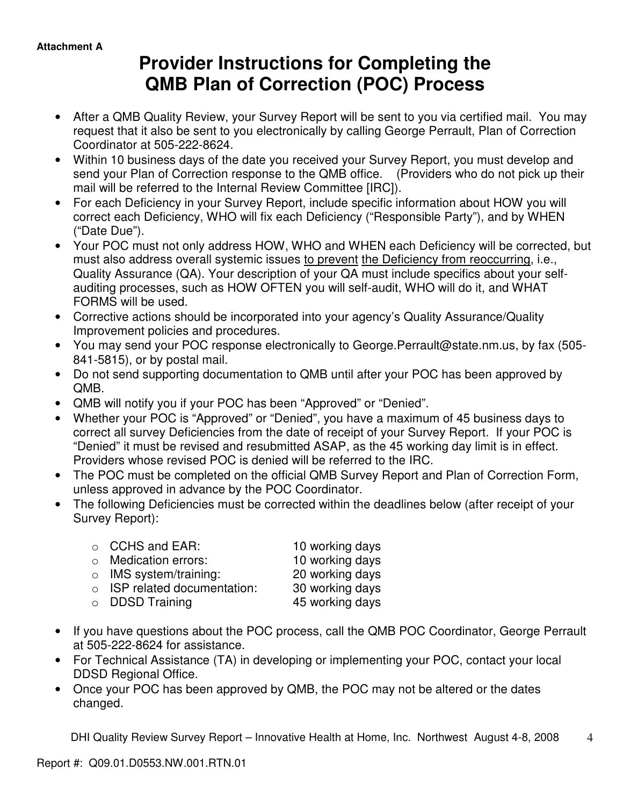# **Provider Instructions for Completing the QMB Plan of Correction (POC) Process**

- After a QMB Quality Review, your Survey Report will be sent to you via certified mail. You may request that it also be sent to you electronically by calling George Perrault, Plan of Correction Coordinator at 505-222-8624.
- Within 10 business days of the date you received your Survey Report, you must develop and send your Plan of Correction response to the QMB office. (Providers who do not pick up their mail will be referred to the Internal Review Committee [IRC]).
- For each Deficiency in your Survey Report, include specific information about HOW you will correct each Deficiency, WHO will fix each Deficiency ("Responsible Party"), and by WHEN ("Date Due").
- Your POC must not only address HOW, WHO and WHEN each Deficiency will be corrected, but must also address overall systemic issues to prevent the Deficiency from reoccurring, i.e., Quality Assurance (QA). Your description of your QA must include specifics about your selfauditing processes, such as HOW OFTEN you will self-audit, WHO will do it, and WHAT FORMS will be used.
- Corrective actions should be incorporated into your agency's Quality Assurance/Quality Improvement policies and procedures.
- You may send your POC response electronically to George.Perrault@state.nm.us, by fax (505- 841-5815), or by postal mail.
- Do not send supporting documentation to QMB until after your POC has been approved by QMB.
- QMB will notify you if your POC has been "Approved" or "Denied".
- Whether your POC is "Approved" or "Denied", you have a maximum of 45 business days to correct all survey Deficiencies from the date of receipt of your Survey Report. If your POC is "Denied" it must be revised and resubmitted ASAP, as the 45 working day limit is in effect. Providers whose revised POC is denied will be referred to the IRC.
- The POC must be completed on the official QMB Survey Report and Plan of Correction Form, unless approved in advance by the POC Coordinator.
- The following Deficiencies must be corrected within the deadlines below (after receipt of your Survey Report):

| $\circ$ CCHS and EAR:              | 10 working days |
|------------------------------------|-----------------|
| $\circ$ Medication errors:         | 10 working days |
| $\circ$ IMS system/training:       | 20 working days |
| $\circ$ ISP related documentation: | 30 working days |
| $\circ$ DDSD Training              | 45 working days |

- If you have questions about the POC process, call the QMB POC Coordinator, George Perrault at 505-222-8624 for assistance.
- For Technical Assistance (TA) in developing or implementing your POC, contact your local DDSD Regional Office.
- Once your POC has been approved by QMB, the POC may not be altered or the dates changed.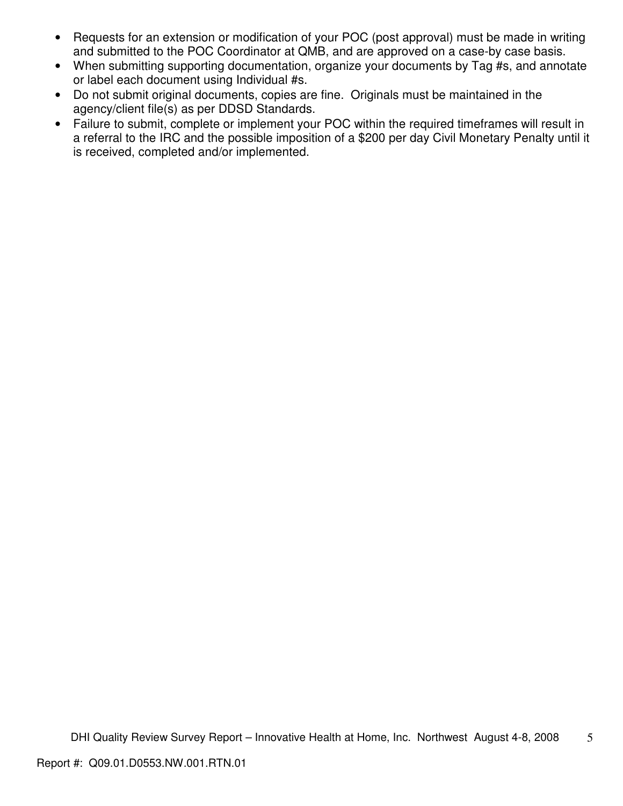- Requests for an extension or modification of your POC (post approval) must be made in writing and submitted to the POC Coordinator at QMB, and are approved on a case-by case basis.
- When submitting supporting documentation, organize your documents by Tag #s, and annotate or label each document using Individual #s.
- Do not submit original documents, copies are fine. Originals must be maintained in the agency/client file(s) as per DDSD Standards.
- Failure to submit, complete or implement your POC within the required timeframes will result in a referral to the IRC and the possible imposition of a \$200 per day Civil Monetary Penalty until it is received, completed and/or implemented.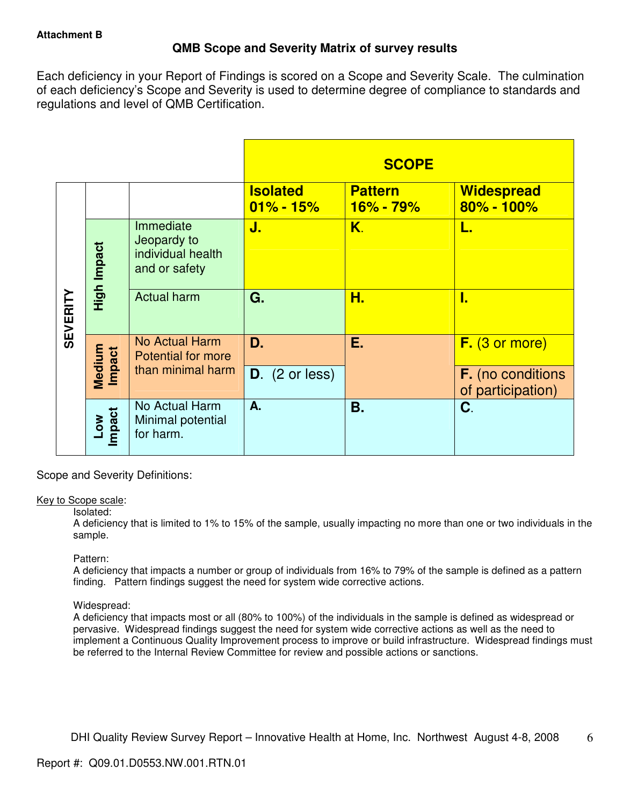# **QMB Scope and Severity Matrix of survey results**

Each deficiency in your Report of Findings is scored on a Scope and Severity Scale. The culmination of each deficiency's Scope and Severity is used to determine degree of compliance to standards and regulations and level of QMB Certification.

|                 |                      |                                                                |                                  | <b>SCOPE</b>                  |                                               |
|-----------------|----------------------|----------------------------------------------------------------|----------------------------------|-------------------------------|-----------------------------------------------|
|                 |                      |                                                                | <b>Isolated</b><br>$01\% - 15\%$ | <b>Pattern</b><br>$16% - 79%$ | <b>Widespread</b><br>$80\% - 100\%$           |
| <b>SEVERITY</b> | High Impact          | Immediate<br>Jeopardy to<br>individual health<br>and or safety | J.                               | K.                            | L.                                            |
|                 |                      | <b>Actual harm</b>                                             | G.                               | Н.                            | I.                                            |
|                 | Medium<br>Impact     | No Actual Harm<br><b>Potential for more</b>                    | D.                               | Е.                            | $F.$ (3 or more)                              |
|                 |                      | than minimal harm                                              | $D.$ (2 or less)                 |                               | <b>F.</b> (no conditions<br>of participation) |
|                 | <b>Impact</b><br>20M | No Actual Harm<br>Minimal potential<br>for harm.               | A.                               | Β.                            | C.                                            |

Scope and Severity Definitions:

## Key to Scope scale:

## Isolated:

A deficiency that is limited to 1% to 15% of the sample, usually impacting no more than one or two individuals in the sample.

## Pattern:

A deficiency that impacts a number or group of individuals from 16% to 79% of the sample is defined as a pattern finding. Pattern findings suggest the need for system wide corrective actions.

## Widespread:

A deficiency that impacts most or all (80% to 100%) of the individuals in the sample is defined as widespread or pervasive. Widespread findings suggest the need for system wide corrective actions as well as the need to implement a Continuous Quality Improvement process to improve or build infrastructure. Widespread findings must be referred to the Internal Review Committee for review and possible actions or sanctions.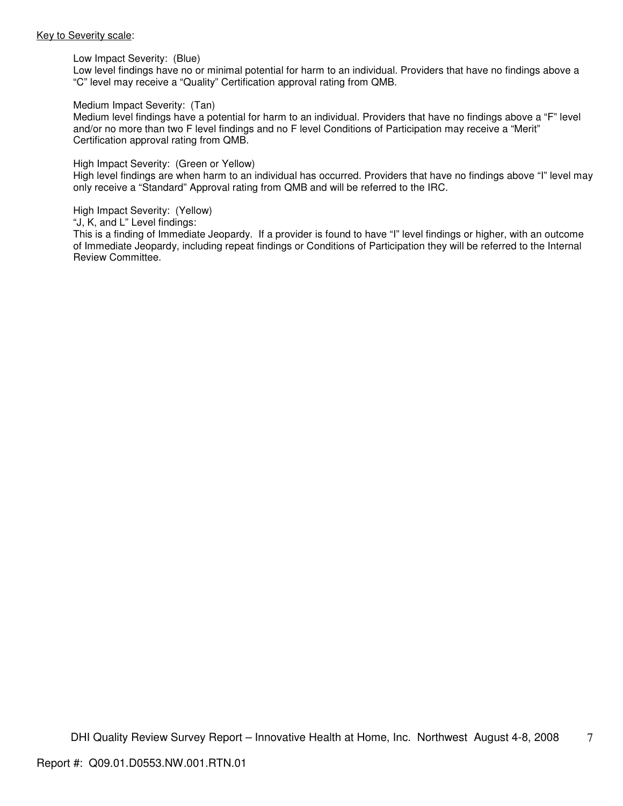#### Key to Severity scale:

Low Impact Severity: (Blue)

Low level findings have no or minimal potential for harm to an individual. Providers that have no findings above a "C" level may receive a "Quality" Certification approval rating from QMB.

#### Medium Impact Severity: (Tan)

Medium level findings have a potential for harm to an individual. Providers that have no findings above a "F" level and/or no more than two F level findings and no F level Conditions of Participation may receive a "Merit" Certification approval rating from QMB.

#### High Impact Severity: (Green or Yellow)

High level findings are when harm to an individual has occurred. Providers that have no findings above "I" level may only receive a "Standard" Approval rating from QMB and will be referred to the IRC.

#### High Impact Severity: (Yellow)

"J, K, and L" Level findings:

This is a finding of Immediate Jeopardy. If a provider is found to have "I" level findings or higher, with an outcome of Immediate Jeopardy, including repeat findings or Conditions of Participation they will be referred to the Internal Review Committee.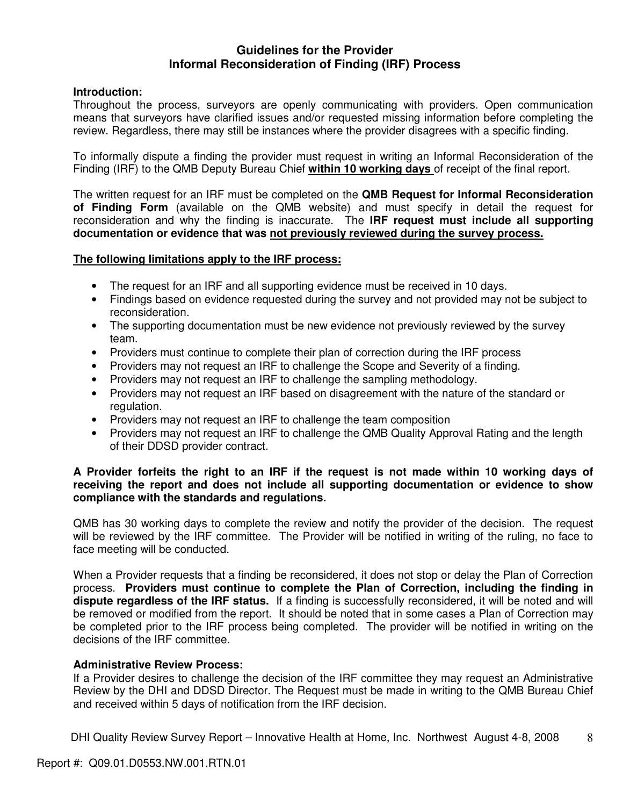## **Guidelines for the Provider Informal Reconsideration of Finding (IRF) Process**

## **Introduction:**

Throughout the process, surveyors are openly communicating with providers. Open communication means that surveyors have clarified issues and/or requested missing information before completing the review. Regardless, there may still be instances where the provider disagrees with a specific finding.

To informally dispute a finding the provider must request in writing an Informal Reconsideration of the Finding (IRF) to the QMB Deputy Bureau Chief **within 10 working days** of receipt of the final report.

The written request for an IRF must be completed on the **QMB Request for Informal Reconsideration of Finding Form** (available on the QMB website) and must specify in detail the request for reconsideration and why the finding is inaccurate. The **IRF request must include all supporting documentation or evidence that was not previously reviewed during the survey process.** 

## **The following limitations apply to the IRF process:**

- The request for an IRF and all supporting evidence must be received in 10 days.
- Findings based on evidence requested during the survey and not provided may not be subject to reconsideration.
- The supporting documentation must be new evidence not previously reviewed by the survey team.
- Providers must continue to complete their plan of correction during the IRF process
- Providers may not request an IRF to challenge the Scope and Severity of a finding.
- Providers may not request an IRF to challenge the sampling methodology.
- Providers may not request an IRF based on disagreement with the nature of the standard or regulation.
- Providers may not request an IRF to challenge the team composition
- Providers may not request an IRF to challenge the QMB Quality Approval Rating and the length of their DDSD provider contract.

## **A Provider forfeits the right to an IRF if the request is not made within 10 working days of receiving the report and does not include all supporting documentation or evidence to show compliance with the standards and regulations.**

QMB has 30 working days to complete the review and notify the provider of the decision. The request will be reviewed by the IRF committee. The Provider will be notified in writing of the ruling, no face to face meeting will be conducted.

When a Provider requests that a finding be reconsidered, it does not stop or delay the Plan of Correction process. **Providers must continue to complete the Plan of Correction, including the finding in dispute regardless of the IRF status.** If a finding is successfully reconsidered, it will be noted and will be removed or modified from the report. It should be noted that in some cases a Plan of Correction may be completed prior to the IRF process being completed. The provider will be notified in writing on the decisions of the IRF committee.

## **Administrative Review Process:**

If a Provider desires to challenge the decision of the IRF committee they may request an Administrative Review by the DHI and DDSD Director. The Request must be made in writing to the QMB Bureau Chief and received within 5 days of notification from the IRF decision.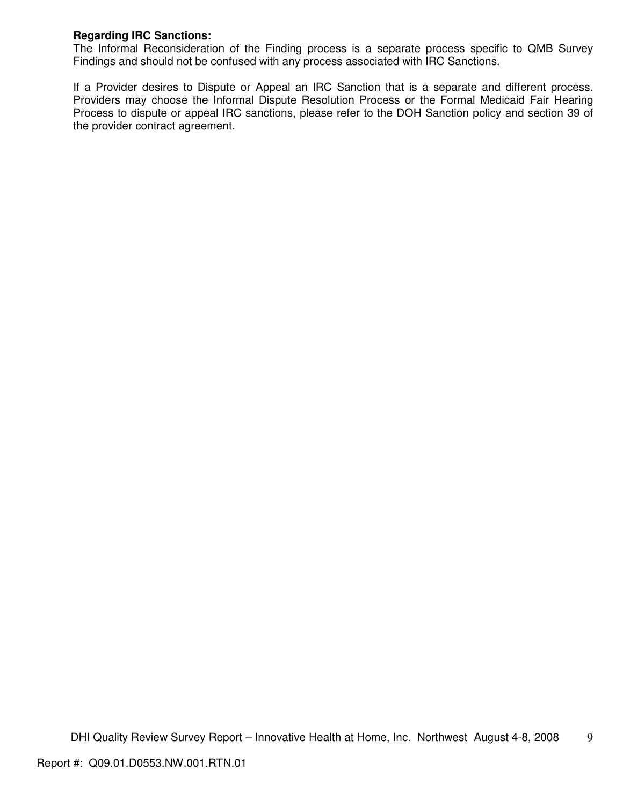## **Regarding IRC Sanctions:**

The Informal Reconsideration of the Finding process is a separate process specific to QMB Survey Findings and should not be confused with any process associated with IRC Sanctions.

If a Provider desires to Dispute or Appeal an IRC Sanction that is a separate and different process. Providers may choose the Informal Dispute Resolution Process or the Formal Medicaid Fair Hearing Process to dispute or appeal IRC sanctions, please refer to the DOH Sanction policy and section 39 of the provider contract agreement.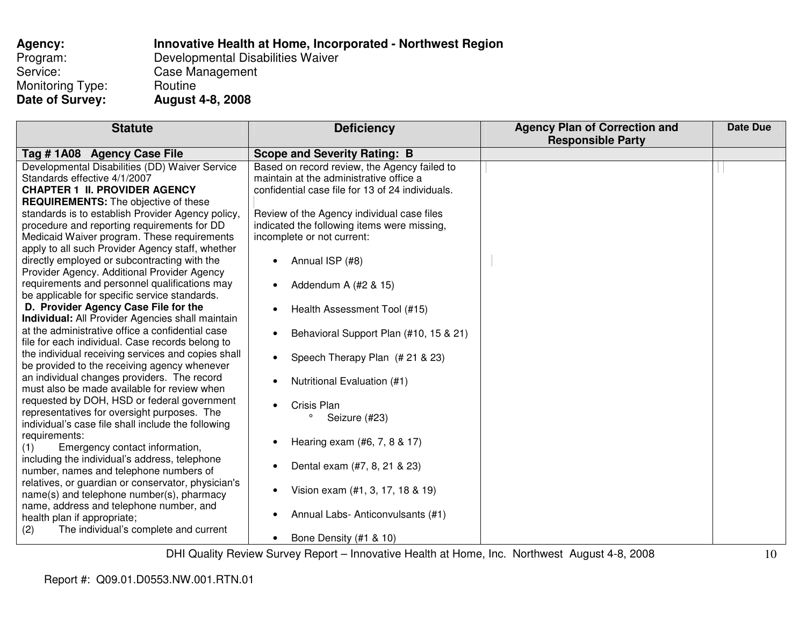| Agency:          | Innovative Health at Home, Incorporated - Northwest Region |
|------------------|------------------------------------------------------------|
| Program:         | Developmental Disabilities Waiver                          |
| Service:         | Case Management                                            |
| Monitoring Type: | Routine                                                    |
| Date of Survey:  | <b>August 4-8, 2008</b>                                    |

| <b>Statute</b>                                          | <b>Deficiency</b>                                | <b>Agency Plan of Correction and</b> | <b>Date Due</b> |
|---------------------------------------------------------|--------------------------------------------------|--------------------------------------|-----------------|
|                                                         |                                                  | <b>Responsible Party</b>             |                 |
| Tag #1A08 Agency Case File                              | <b>Scope and Severity Rating: B</b>              |                                      |                 |
| Developmental Disabilities (DD) Waiver Service          | Based on record review, the Agency failed to     |                                      |                 |
| Standards effective 4/1/2007                            | maintain at the administrative office a          |                                      |                 |
| <b>CHAPTER 1 II. PROVIDER AGENCY</b>                    | confidential case file for 13 of 24 individuals. |                                      |                 |
| <b>REQUIREMENTS:</b> The objective of these             |                                                  |                                      |                 |
| standards is to establish Provider Agency policy,       | Review of the Agency individual case files       |                                      |                 |
| procedure and reporting requirements for DD             | indicated the following items were missing,      |                                      |                 |
| Medicaid Waiver program. These requirements             | incomplete or not current:                       |                                      |                 |
| apply to all such Provider Agency staff, whether        |                                                  |                                      |                 |
| directly employed or subcontracting with the            | Annual ISP (#8)<br>$\bullet$                     |                                      |                 |
| Provider Agency. Additional Provider Agency             |                                                  |                                      |                 |
| requirements and personnel qualifications may           | Addendum A (#2 & 15)                             |                                      |                 |
| be applicable for specific service standards.           |                                                  |                                      |                 |
| D. Provider Agency Case File for the                    | Health Assessment Tool (#15)                     |                                      |                 |
| <b>Individual:</b> All Provider Agencies shall maintain |                                                  |                                      |                 |
| at the administrative office a confidential case        | Behavioral Support Plan (#10, 15 & 21)           |                                      |                 |
| file for each individual. Case records belong to        |                                                  |                                      |                 |
| the individual receiving services and copies shall      | Speech Therapy Plan (# 21 & 23)<br>$\bullet$     |                                      |                 |
| be provided to the receiving agency whenever            |                                                  |                                      |                 |
| an individual changes providers. The record             | Nutritional Evaluation (#1)                      |                                      |                 |
| must also be made available for review when             |                                                  |                                      |                 |
| requested by DOH, HSD or federal government             | Crisis Plan                                      |                                      |                 |
| representatives for oversight purposes. The             | $\circ$<br>Seizure (#23)                         |                                      |                 |
| individual's case file shall include the following      |                                                  |                                      |                 |
| requirements:                                           | Hearing exam (#6, 7, 8 & 17)                     |                                      |                 |
| Emergency contact information,<br>(1)                   |                                                  |                                      |                 |
| including the individual's address, telephone           | Dental exam (#7, 8, 21 & 23)                     |                                      |                 |
| number, names and telephone numbers of                  |                                                  |                                      |                 |
| relatives, or guardian or conservator, physician's      | Vision exam (#1, 3, 17, 18 & 19)<br>$\bullet$    |                                      |                 |
| name(s) and telephone number(s), pharmacy               |                                                  |                                      |                 |
| name, address and telephone number, and                 | Annual Labs-Anticonvulsants (#1)                 |                                      |                 |
| health plan if appropriate;                             |                                                  |                                      |                 |
| The individual's complete and current<br>(2)            |                                                  |                                      |                 |
|                                                         | Bone Density (#1 & 10)                           |                                      |                 |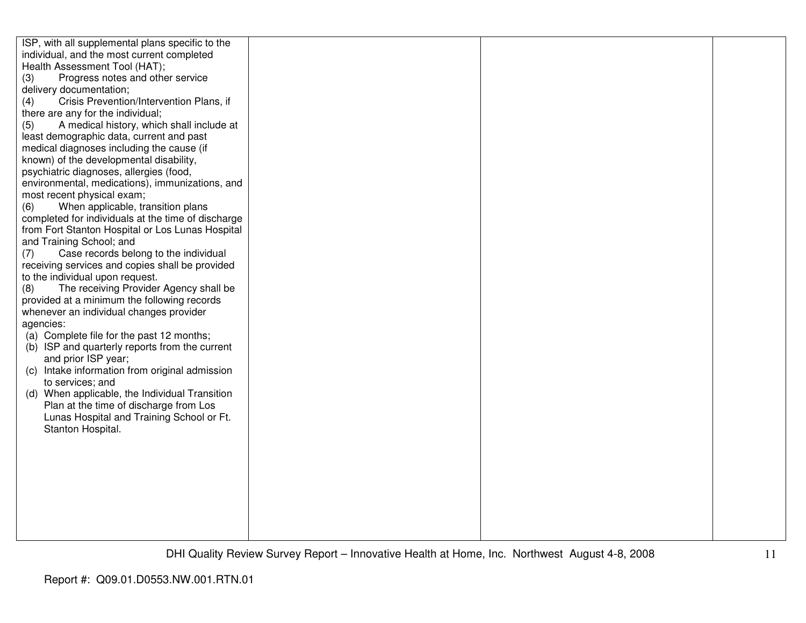| ISP, with all supplemental plans specific to the   |  |  |
|----------------------------------------------------|--|--|
| individual, and the most current completed         |  |  |
| Health Assessment Tool (HAT);                      |  |  |
| Progress notes and other service<br>(3)            |  |  |
| delivery documentation;                            |  |  |
| Crisis Prevention/Intervention Plans, if<br>(4)    |  |  |
| there are any for the individual;                  |  |  |
| A medical history, which shall include at<br>(5)   |  |  |
| least demographic data, current and past           |  |  |
| medical diagnoses including the cause (if          |  |  |
| known) of the developmental disability,            |  |  |
| psychiatric diagnoses, allergies (food,            |  |  |
| environmental, medications), immunizations, and    |  |  |
| most recent physical exam;                         |  |  |
| When applicable, transition plans<br>(6)           |  |  |
|                                                    |  |  |
| completed for individuals at the time of discharge |  |  |
| from Fort Stanton Hospital or Los Lunas Hospital   |  |  |
| and Training School; and                           |  |  |
| Case records belong to the individual<br>(7)       |  |  |
| receiving services and copies shall be provided    |  |  |
| to the individual upon request.                    |  |  |
| The receiving Provider Agency shall be<br>(8)      |  |  |
| provided at a minimum the following records        |  |  |
| whenever an individual changes provider            |  |  |
| agencies:                                          |  |  |
| (a) Complete file for the past 12 months;          |  |  |
| (b) ISP and quarterly reports from the current     |  |  |
| and prior ISP year;                                |  |  |
| (c) Intake information from original admission     |  |  |
| to services; and                                   |  |  |
| (d) When applicable, the Individual Transition     |  |  |
| Plan at the time of discharge from Los             |  |  |
| Lunas Hospital and Training School or Ft.          |  |  |
| Stanton Hospital.                                  |  |  |
|                                                    |  |  |
|                                                    |  |  |
|                                                    |  |  |
|                                                    |  |  |
|                                                    |  |  |
|                                                    |  |  |
|                                                    |  |  |
|                                                    |  |  |
|                                                    |  |  |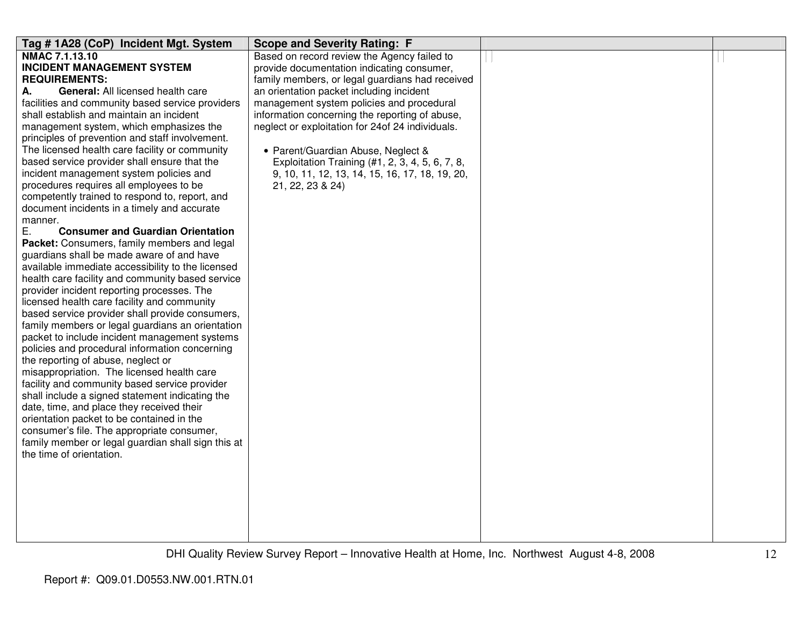| Tag #1A28 (CoP) Incident Mgt. System                                                            | <b>Scope and Severity Rating: F</b>              |  |
|-------------------------------------------------------------------------------------------------|--------------------------------------------------|--|
| NMAC 7.1.13.10                                                                                  | Based on record review the Agency failed to      |  |
| <b>INCIDENT MANAGEMENT SYSTEM</b>                                                               | provide documentation indicating consumer,       |  |
| <b>REQUIREMENTS:</b>                                                                            | family members, or legal guardians had received  |  |
| General: All licensed health care<br>А.                                                         | an orientation packet including incident         |  |
| facilities and community based service providers                                                | management system policies and procedural        |  |
| shall establish and maintain an incident                                                        | information concerning the reporting of abuse,   |  |
| management system, which emphasizes the                                                         | neglect or exploitation for 24of 24 individuals. |  |
| principles of prevention and staff involvement.                                                 |                                                  |  |
| The licensed health care facility or community                                                  | • Parent/Guardian Abuse, Neglect &               |  |
| based service provider shall ensure that the                                                    | Exploitation Training (#1, 2, 3, 4, 5, 6, 7, 8,  |  |
| incident management system policies and                                                         | 9, 10, 11, 12, 13, 14, 15, 16, 17, 18, 19, 20,   |  |
| procedures requires all employees to be                                                         | 21, 22, 23 & 24)                                 |  |
| competently trained to respond to, report, and                                                  |                                                  |  |
| document incidents in a timely and accurate                                                     |                                                  |  |
| manner.                                                                                         |                                                  |  |
| Ε.<br><b>Consumer and Guardian Orientation</b>                                                  |                                                  |  |
| Packet: Consumers, family members and legal                                                     |                                                  |  |
| guardians shall be made aware of and have                                                       |                                                  |  |
| available immediate accessibility to the licensed                                               |                                                  |  |
| health care facility and community based service                                                |                                                  |  |
| provider incident reporting processes. The                                                      |                                                  |  |
| licensed health care facility and community                                                     |                                                  |  |
| based service provider shall provide consumers,                                                 |                                                  |  |
| family members or legal guardians an orientation                                                |                                                  |  |
| packet to include incident management systems<br>policies and procedural information concerning |                                                  |  |
| the reporting of abuse, neglect or                                                              |                                                  |  |
| misappropriation. The licensed health care                                                      |                                                  |  |
| facility and community based service provider                                                   |                                                  |  |
| shall include a signed statement indicating the                                                 |                                                  |  |
| date, time, and place they received their                                                       |                                                  |  |
| orientation packet to be contained in the                                                       |                                                  |  |
| consumer's file. The appropriate consumer,                                                      |                                                  |  |
| family member or legal guardian shall sign this at                                              |                                                  |  |
| the time of orientation.                                                                        |                                                  |  |
|                                                                                                 |                                                  |  |
|                                                                                                 |                                                  |  |
|                                                                                                 |                                                  |  |
|                                                                                                 |                                                  |  |
|                                                                                                 |                                                  |  |
|                                                                                                 |                                                  |  |
|                                                                                                 |                                                  |  |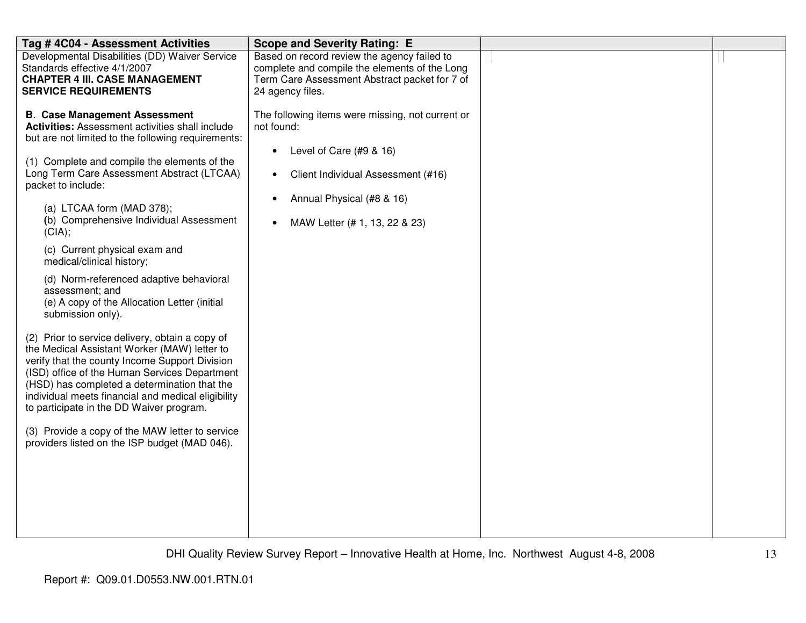| Tag # 4C04 - Assessment Activities                                                                                                                                                                                                                                                                                                                                                                                                                                                                                                                                                                                                                                                                                                                                                                                                                                                                                                                                                                               | <b>Scope and Severity Rating: E</b>                                                                                                                                                                                                    |  |
|------------------------------------------------------------------------------------------------------------------------------------------------------------------------------------------------------------------------------------------------------------------------------------------------------------------------------------------------------------------------------------------------------------------------------------------------------------------------------------------------------------------------------------------------------------------------------------------------------------------------------------------------------------------------------------------------------------------------------------------------------------------------------------------------------------------------------------------------------------------------------------------------------------------------------------------------------------------------------------------------------------------|----------------------------------------------------------------------------------------------------------------------------------------------------------------------------------------------------------------------------------------|--|
| Developmental Disabilities (DD) Waiver Service<br>Standards effective 4/1/2007<br><b>CHAPTER 4 III. CASE MANAGEMENT</b><br><b>SERVICE REQUIREMENTS</b>                                                                                                                                                                                                                                                                                                                                                                                                                                                                                                                                                                                                                                                                                                                                                                                                                                                           | Based on record review the agency failed to<br>complete and compile the elements of the Long<br>Term Care Assessment Abstract packet for 7 of<br>24 agency files.                                                                      |  |
| <b>B. Case Management Assessment</b><br>Activities: Assessment activities shall include<br>but are not limited to the following requirements:<br>(1) Complete and compile the elements of the<br>Long Term Care Assessment Abstract (LTCAA)<br>packet to include:<br>(a) LTCAA form (MAD 378);<br>(b) Comprehensive Individual Assessment<br>(CIA);<br>(c) Current physical exam and<br>medical/clinical history;<br>(d) Norm-referenced adaptive behavioral<br>assessment; and<br>(e) A copy of the Allocation Letter (initial<br>submission only).<br>(2) Prior to service delivery, obtain a copy of<br>the Medical Assistant Worker (MAW) letter to<br>verify that the county Income Support Division<br>(ISD) office of the Human Services Department<br>(HSD) has completed a determination that the<br>individual meets financial and medical eligibility<br>to participate in the DD Waiver program.<br>(3) Provide a copy of the MAW letter to service<br>providers listed on the ISP budget (MAD 046). | The following items were missing, not current or<br>not found:<br>Level of Care $(#9 & 16)$<br>$\bullet$<br>Client Individual Assessment (#16)<br>$\bullet$<br>Annual Physical (#8 & 16)<br>$\bullet$<br>MAW Letter (# 1, 13, 22 & 23) |  |
|                                                                                                                                                                                                                                                                                                                                                                                                                                                                                                                                                                                                                                                                                                                                                                                                                                                                                                                                                                                                                  |                                                                                                                                                                                                                                        |  |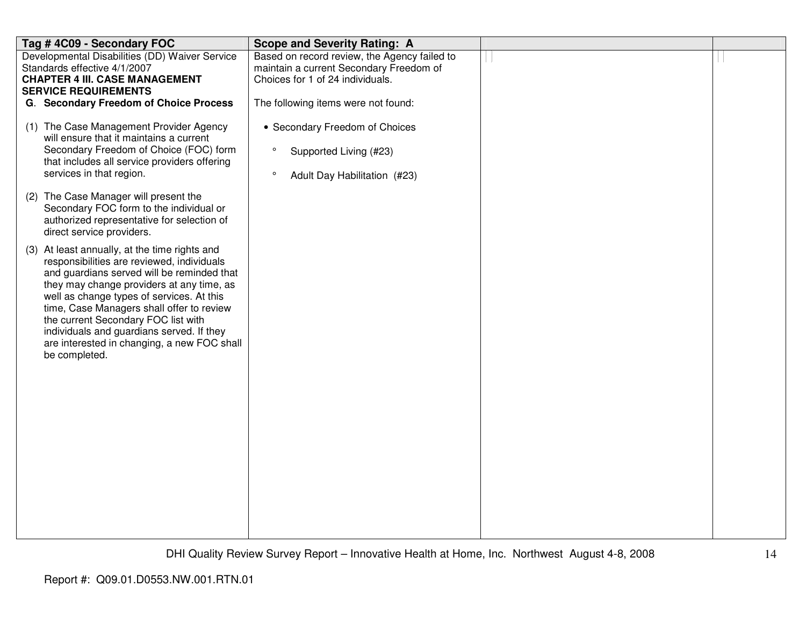| Tag #4C09 - Secondary FOC                                                                                                                                                                                                                                                                                                                                                                                                            | <b>Scope and Severity Rating: A</b>                                                                                         |  |
|--------------------------------------------------------------------------------------------------------------------------------------------------------------------------------------------------------------------------------------------------------------------------------------------------------------------------------------------------------------------------------------------------------------------------------------|-----------------------------------------------------------------------------------------------------------------------------|--|
| Developmental Disabilities (DD) Waiver Service<br>Standards effective 4/1/2007<br><b>CHAPTER 4 III. CASE MANAGEMENT</b><br><b>SERVICE REQUIREMENTS</b>                                                                                                                                                                                                                                                                               | Based on record review, the Agency failed to<br>maintain a current Secondary Freedom of<br>Choices for 1 of 24 individuals. |  |
| G. Secondary Freedom of Choice Process                                                                                                                                                                                                                                                                                                                                                                                               | The following items were not found:                                                                                         |  |
| (1) The Case Management Provider Agency<br>will ensure that it maintains a current<br>Secondary Freedom of Choice (FOC) form<br>that includes all service providers offering<br>services in that region.                                                                                                                                                                                                                             | • Secondary Freedom of Choices<br>$\circ$<br>Supported Living (#23)<br>$\circ$<br>Adult Day Habilitation (#23)              |  |
| (2) The Case Manager will present the<br>Secondary FOC form to the individual or<br>authorized representative for selection of<br>direct service providers.                                                                                                                                                                                                                                                                          |                                                                                                                             |  |
| (3) At least annually, at the time rights and<br>responsibilities are reviewed, individuals<br>and guardians served will be reminded that<br>they may change providers at any time, as<br>well as change types of services. At this<br>time, Case Managers shall offer to review<br>the current Secondary FOC list with<br>individuals and guardians served. If they<br>are interested in changing, a new FOC shall<br>be completed. |                                                                                                                             |  |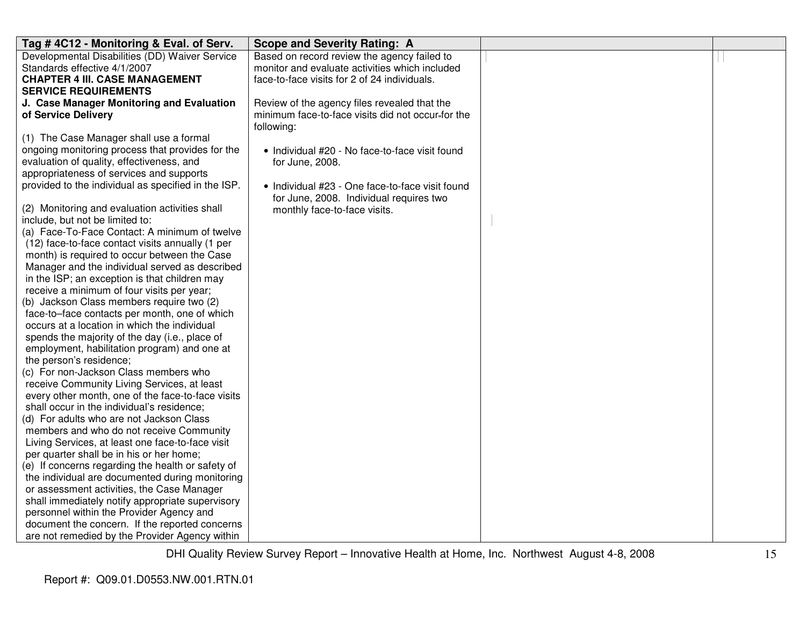| Tag #4C12 - Monitoring & Eval. of Serv.             | <b>Scope and Severity Rating: A</b>               |  |
|-----------------------------------------------------|---------------------------------------------------|--|
| Developmental Disabilities (DD) Waiver Service      | Based on record review the agency failed to       |  |
| Standards effective 4/1/2007                        | monitor and evaluate activities which included    |  |
| <b>CHAPTER 4 III. CASE MANAGEMENT</b>               | face-to-face visits for 2 of 24 individuals.      |  |
| <b>SERVICE REQUIREMENTS</b>                         |                                                   |  |
| J. Case Manager Monitoring and Evaluation           | Review of the agency files revealed that the      |  |
| of Service Delivery                                 | minimum face-to-face visits did not occur-for the |  |
|                                                     | following:                                        |  |
| (1) The Case Manager shall use a formal             |                                                   |  |
| ongoing monitoring process that provides for the    | • Individual #20 - No face-to-face visit found    |  |
| evaluation of quality, effectiveness, and           | for June, 2008.                                   |  |
| appropriateness of services and supports            |                                                   |  |
| provided to the individual as specified in the ISP. | • Individual #23 - One face-to-face visit found   |  |
|                                                     | for June, 2008. Individual requires two           |  |
| (2) Monitoring and evaluation activities shall      | monthly face-to-face visits.                      |  |
| include, but not be limited to:                     |                                                   |  |
| (a) Face-To-Face Contact: A minimum of twelve       |                                                   |  |
| (12) face-to-face contact visits annually (1 per    |                                                   |  |
| month) is required to occur between the Case        |                                                   |  |
| Manager and the individual served as described      |                                                   |  |
| in the ISP; an exception is that children may       |                                                   |  |
| receive a minimum of four visits per year;          |                                                   |  |
| (b) Jackson Class members require two (2)           |                                                   |  |
| face-to-face contacts per month, one of which       |                                                   |  |
| occurs at a location in which the individual        |                                                   |  |
| spends the majority of the day (i.e., place of      |                                                   |  |
| employment, habilitation program) and one at        |                                                   |  |
| the person's residence;                             |                                                   |  |
| (c) For non-Jackson Class members who               |                                                   |  |
| receive Community Living Services, at least         |                                                   |  |
| every other month, one of the face-to-face visits   |                                                   |  |
| shall occur in the individual's residence;          |                                                   |  |
| (d) For adults who are not Jackson Class            |                                                   |  |
| members and who do not receive Community            |                                                   |  |
| Living Services, at least one face-to-face visit    |                                                   |  |
| per quarter shall be in his or her home;            |                                                   |  |
| (e) If concerns regarding the health or safety of   |                                                   |  |
| the individual are documented during monitoring     |                                                   |  |
| or assessment activities, the Case Manager          |                                                   |  |
| shall immediately notify appropriate supervisory    |                                                   |  |
| personnel within the Provider Agency and            |                                                   |  |
| document the concern. If the reported concerns      |                                                   |  |
| are not remedied by the Provider Agency within      |                                                   |  |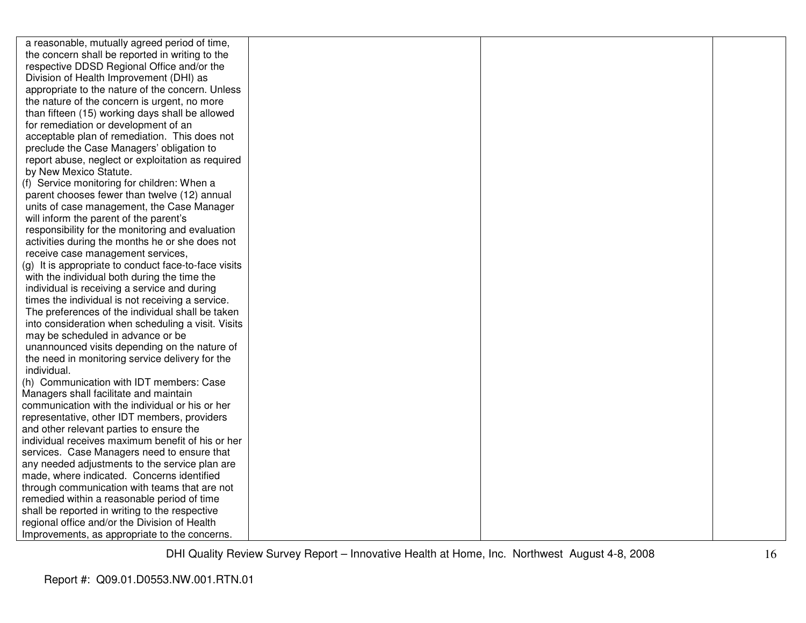| a reasonable, mutually agreed period of time,        |  |  |
|------------------------------------------------------|--|--|
| the concern shall be reported in writing to the      |  |  |
| respective DDSD Regional Office and/or the           |  |  |
| Division of Health Improvement (DHI) as              |  |  |
| appropriate to the nature of the concern. Unless     |  |  |
| the nature of the concern is urgent, no more         |  |  |
| than fifteen (15) working days shall be allowed      |  |  |
| for remediation or development of an                 |  |  |
| acceptable plan of remediation. This does not        |  |  |
| preclude the Case Managers' obligation to            |  |  |
| report abuse, neglect or exploitation as required    |  |  |
| by New Mexico Statute.                               |  |  |
| (f) Service monitoring for children: When a          |  |  |
| parent chooses fewer than twelve (12) annual         |  |  |
| units of case management, the Case Manager           |  |  |
| will inform the parent of the parent's               |  |  |
| responsibility for the monitoring and evaluation     |  |  |
| activities during the months he or she does not      |  |  |
| receive case management services,                    |  |  |
| (g) It is appropriate to conduct face-to-face visits |  |  |
| with the individual both during the time the         |  |  |
| individual is receiving a service and during         |  |  |
| times the individual is not receiving a service.     |  |  |
| The preferences of the individual shall be taken     |  |  |
| into consideration when scheduling a visit. Visits   |  |  |
| may be scheduled in advance or be                    |  |  |
| unannounced visits depending on the nature of        |  |  |
| the need in monitoring service delivery for the      |  |  |
| individual.                                          |  |  |
| (h) Communication with IDT members: Case             |  |  |
| Managers shall facilitate and maintain               |  |  |
| communication with the individual or his or her      |  |  |
| representative, other IDT members, providers         |  |  |
| and other relevant parties to ensure the             |  |  |
| individual receives maximum benefit of his or her    |  |  |
| services. Case Managers need to ensure that          |  |  |
| any needed adjustments to the service plan are       |  |  |
| made, where indicated. Concerns identified           |  |  |
| through communication with teams that are not        |  |  |
| remedied within a reasonable period of time          |  |  |
| shall be reported in writing to the respective       |  |  |
| regional office and/or the Division of Health        |  |  |
| Improvements, as appropriate to the concerns.        |  |  |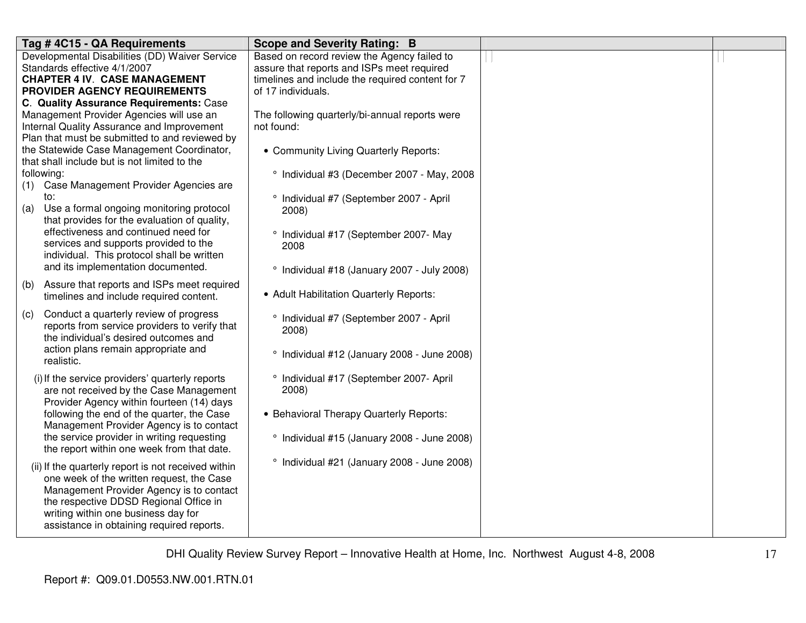| Tag #4C15 - QA Requirements                                                             | <b>Scope and Severity Rating: B</b>              |  |
|-----------------------------------------------------------------------------------------|--------------------------------------------------|--|
| Developmental Disabilities (DD) Waiver Service                                          | Based on record review the Agency failed to      |  |
| Standards effective 4/1/2007                                                            | assure that reports and ISPs meet required       |  |
| <b>CHAPTER 4 IV. CASE MANAGEMENT</b>                                                    | timelines and include the required content for 7 |  |
| PROVIDER AGENCY REQUIREMENTS                                                            | of 17 individuals.                               |  |
| C. Quality Assurance Requirements: Case                                                 |                                                  |  |
| Management Provider Agencies will use an                                                | The following quarterly/bi-annual reports were   |  |
| Internal Quality Assurance and Improvement                                              | not found:                                       |  |
| Plan that must be submitted to and reviewed by                                          |                                                  |  |
| the Statewide Case Management Coordinator,                                              | • Community Living Quarterly Reports:            |  |
| that shall include but is not limited to the                                            |                                                  |  |
| following:                                                                              | ° Individual #3 (December 2007 - May, 2008       |  |
| Case Management Provider Agencies are<br>(1)                                            |                                                  |  |
| to:                                                                                     | ° Individual #7 (September 2007 - April          |  |
| Use a formal ongoing monitoring protocol<br>(a)                                         | 2008)                                            |  |
| that provides for the evaluation of quality,                                            |                                                  |  |
| effectiveness and continued need for                                                    | ° Individual #17 (September 2007- May            |  |
| services and supports provided to the                                                   | 2008                                             |  |
| individual. This protocol shall be written<br>and its implementation documented.        |                                                  |  |
|                                                                                         | ° Individual #18 (January 2007 - July 2008)      |  |
| Assure that reports and ISPs meet required<br>(b)                                       |                                                  |  |
| timelines and include required content.                                                 | • Adult Habilitation Quarterly Reports:          |  |
| Conduct a quarterly review of progress<br>(c)                                           |                                                  |  |
| reports from service providers to verify that                                           | ° Individual #7 (September 2007 - April          |  |
| the individual's desired outcomes and                                                   | 2008)                                            |  |
| action plans remain appropriate and                                                     |                                                  |  |
| realistic.                                                                              | ° Individual #12 (January 2008 - June 2008)      |  |
|                                                                                         |                                                  |  |
| (i) If the service providers' quarterly reports                                         | ° Individual #17 (September 2007- April          |  |
| are not received by the Case Management                                                 | 2008)                                            |  |
| Provider Agency within fourteen (14) days<br>following the end of the quarter, the Case | • Behavioral Therapy Quarterly Reports:          |  |
| Management Provider Agency is to contact                                                |                                                  |  |
| the service provider in writing requesting                                              | ° Individual #15 (January 2008 - June 2008)      |  |
| the report within one week from that date.                                              |                                                  |  |
|                                                                                         | ° Individual #21 (January 2008 - June 2008)      |  |
| (ii) If the quarterly report is not received within                                     |                                                  |  |
| one week of the written request, the Case                                               |                                                  |  |
| Management Provider Agency is to contact                                                |                                                  |  |
| the respective DDSD Regional Office in                                                  |                                                  |  |
| writing within one business day for                                                     |                                                  |  |
| assistance in obtaining required reports.                                               |                                                  |  |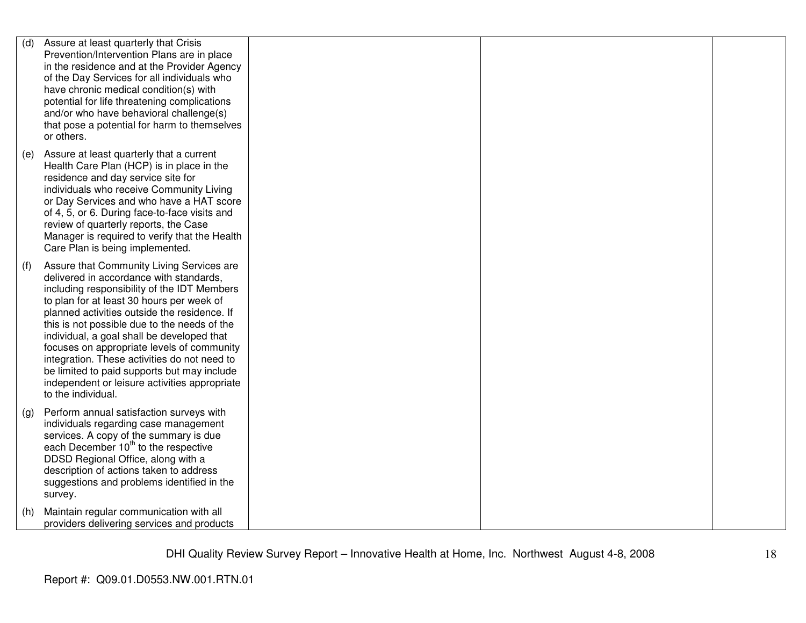| (d) | Assure at least quarterly that Crisis<br>Prevention/Intervention Plans are in place<br>in the residence and at the Provider Agency<br>of the Day Services for all individuals who<br>have chronic medical condition(s) with<br>potential for life threatening complications<br>and/or who have behavioral challenge(s)<br>that pose a potential for harm to themselves<br>or others.                                                                                                                                                               |  |  |
|-----|----------------------------------------------------------------------------------------------------------------------------------------------------------------------------------------------------------------------------------------------------------------------------------------------------------------------------------------------------------------------------------------------------------------------------------------------------------------------------------------------------------------------------------------------------|--|--|
| (e) | Assure at least quarterly that a current<br>Health Care Plan (HCP) is in place in the<br>residence and day service site for<br>individuals who receive Community Living<br>or Day Services and who have a HAT score<br>of 4, 5, or 6. During face-to-face visits and<br>review of quarterly reports, the Case<br>Manager is required to verify that the Health<br>Care Plan is being implemented.                                                                                                                                                  |  |  |
| (f) | Assure that Community Living Services are<br>delivered in accordance with standards,<br>including responsibility of the IDT Members<br>to plan for at least 30 hours per week of<br>planned activities outside the residence. If<br>this is not possible due to the needs of the<br>individual, a goal shall be developed that<br>focuses on appropriate levels of community<br>integration. These activities do not need to<br>be limited to paid supports but may include<br>independent or leisure activities appropriate<br>to the individual. |  |  |
| (g) | Perform annual satisfaction surveys with<br>individuals regarding case management<br>services. A copy of the summary is due<br>each December 10 <sup>th</sup> to the respective<br>DDSD Regional Office, along with a<br>description of actions taken to address<br>suggestions and problems identified in the<br>survey.                                                                                                                                                                                                                          |  |  |
| (h) | Maintain regular communication with all<br>providers delivering services and products                                                                                                                                                                                                                                                                                                                                                                                                                                                              |  |  |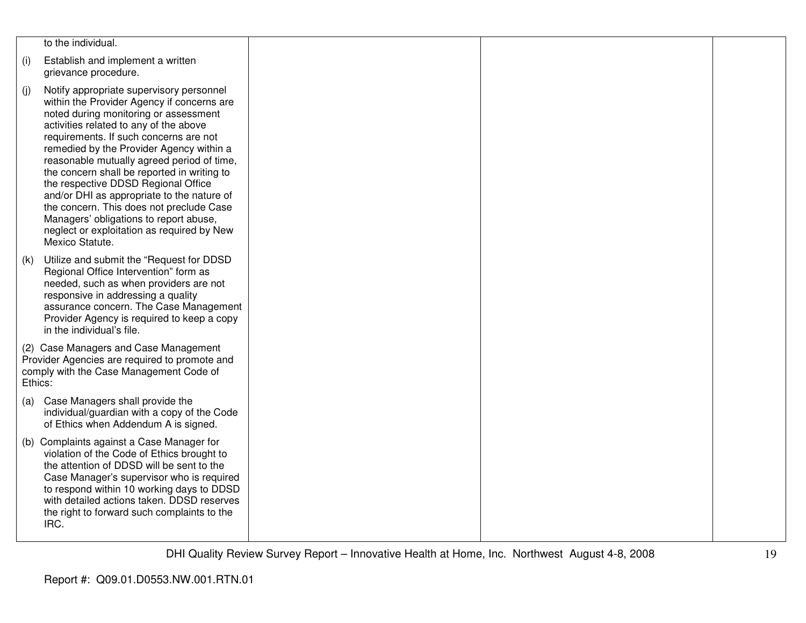|         | to the individual.                                                                                                                                                                                                                                                                                                                                                                                                                                                                                                                                                                                       |  |  |
|---------|----------------------------------------------------------------------------------------------------------------------------------------------------------------------------------------------------------------------------------------------------------------------------------------------------------------------------------------------------------------------------------------------------------------------------------------------------------------------------------------------------------------------------------------------------------------------------------------------------------|--|--|
| (i)     | Establish and implement a written<br>grievance procedure.                                                                                                                                                                                                                                                                                                                                                                                                                                                                                                                                                |  |  |
| (j)     | Notify appropriate supervisory personnel<br>within the Provider Agency if concerns are<br>noted during monitoring or assessment<br>activities related to any of the above<br>requirements. If such concerns are not<br>remedied by the Provider Agency within a<br>reasonable mutually agreed period of time,<br>the concern shall be reported in writing to<br>the respective DDSD Regional Office<br>and/or DHI as appropriate to the nature of<br>the concern. This does not preclude Case<br>Managers' obligations to report abuse,<br>neglect or exploitation as required by New<br>Mexico Statute. |  |  |
| (k)     | Utilize and submit the "Request for DDSD<br>Regional Office Intervention" form as<br>needed, such as when providers are not<br>responsive in addressing a quality<br>assurance concern. The Case Management<br>Provider Agency is required to keep a copy<br>in the individual's file.                                                                                                                                                                                                                                                                                                                   |  |  |
| Ethics: | (2) Case Managers and Case Management<br>Provider Agencies are required to promote and<br>comply with the Case Management Code of                                                                                                                                                                                                                                                                                                                                                                                                                                                                        |  |  |
| (a)     | Case Managers shall provide the<br>individual/guardian with a copy of the Code<br>of Ethics when Addendum A is signed.                                                                                                                                                                                                                                                                                                                                                                                                                                                                                   |  |  |
|         | (b) Complaints against a Case Manager for<br>violation of the Code of Ethics brought to<br>the attention of DDSD will be sent to the<br>Case Manager's supervisor who is required<br>to respond within 10 working days to DDSD<br>with detailed actions taken. DDSD reserves<br>the right to forward such complaints to the<br>IRC.                                                                                                                                                                                                                                                                      |  |  |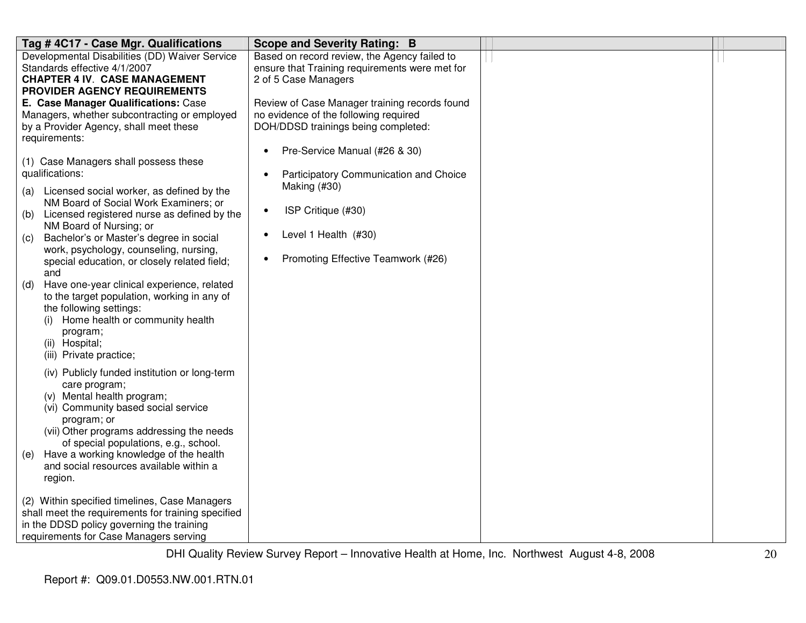| Tag #4C17 - Case Mgr. Qualifications               | <b>Scope and Severity Rating: B</b>                 |  |
|----------------------------------------------------|-----------------------------------------------------|--|
| Developmental Disabilities (DD) Waiver Service     | Based on record review, the Agency failed to        |  |
| Standards effective 4/1/2007                       | ensure that Training requirements were met for      |  |
| <b>CHAPTER 4 IV. CASE MANAGEMENT</b>               | 2 of 5 Case Managers                                |  |
| PROVIDER AGENCY REQUIREMENTS                       |                                                     |  |
| E. Case Manager Qualifications: Case               | Review of Case Manager training records found       |  |
| Managers, whether subcontracting or employed       | no evidence of the following required               |  |
| by a Provider Agency, shall meet these             | DOH/DDSD trainings being completed:                 |  |
| requirements:                                      |                                                     |  |
|                                                    | Pre-Service Manual (#26 & 30)<br>$\bullet$          |  |
| (1) Case Managers shall possess these              |                                                     |  |
| qualifications:                                    | Participatory Communication and Choice<br>$\bullet$ |  |
| (a) Licensed social worker, as defined by the      | Making (#30)                                        |  |
| NM Board of Social Work Examiners; or              |                                                     |  |
| Licensed registered nurse as defined by the<br>(b) | ISP Critique (#30)<br>$\bullet$                     |  |
| NM Board of Nursing; or                            |                                                     |  |
| Bachelor's or Master's degree in social<br>(c)     | Level 1 Health (#30)<br>$\bullet$                   |  |
| work, psychology, counseling, nursing,             |                                                     |  |
| special education, or closely related field;       | Promoting Effective Teamwork (#26)                  |  |
| and                                                |                                                     |  |
| Have one-year clinical experience, related<br>(d)  |                                                     |  |
| to the target population, working in any of        |                                                     |  |
| the following settings:                            |                                                     |  |
| Home health or community health<br>(i)             |                                                     |  |
| program;                                           |                                                     |  |
| (ii) Hospital;                                     |                                                     |  |
| (iii) Private practice;                            |                                                     |  |
| (iv) Publicly funded institution or long-term      |                                                     |  |
| care program;                                      |                                                     |  |
| (v) Mental health program;                         |                                                     |  |
| (vi) Community based social service                |                                                     |  |
| program; or                                        |                                                     |  |
| (vii) Other programs addressing the needs          |                                                     |  |
| of special populations, e.g., school.              |                                                     |  |
| Have a working knowledge of the health<br>(e)      |                                                     |  |
| and social resources available within a            |                                                     |  |
| region.                                            |                                                     |  |
|                                                    |                                                     |  |
| (2) Within specified timelines, Case Managers      |                                                     |  |
| shall meet the requirements for training specified |                                                     |  |
| in the DDSD policy governing the training          |                                                     |  |
| requirements for Case Managers serving             |                                                     |  |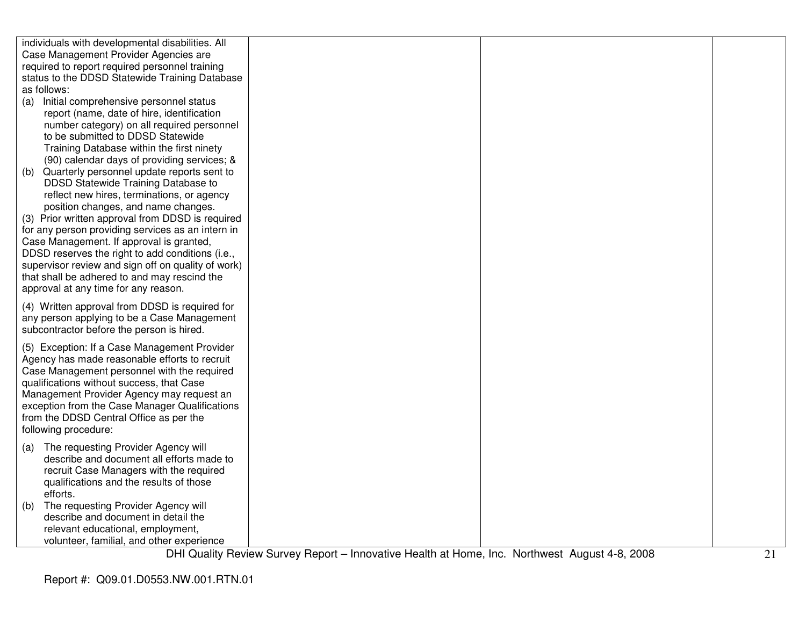|             | individuals with developmental disabilities. All   |  |  |
|-------------|----------------------------------------------------|--|--|
|             | Case Management Provider Agencies are              |  |  |
|             | required to report required personnel training     |  |  |
|             | status to the DDSD Statewide Training Database     |  |  |
| as follows: |                                                    |  |  |
|             | (a) Initial comprehensive personnel status         |  |  |
|             | report (name, date of hire, identification         |  |  |
|             | number category) on all required personnel         |  |  |
|             | to be submitted to DDSD Statewide                  |  |  |
|             | Training Database within the first ninety          |  |  |
|             | (90) calendar days of providing services; &        |  |  |
| (b)         | Quarterly personnel update reports sent to         |  |  |
|             | DDSD Statewide Training Database to                |  |  |
|             | reflect new hires, terminations, or agency         |  |  |
|             | position changes, and name changes.                |  |  |
|             | (3) Prior written approval from DDSD is required   |  |  |
|             | for any person providing services as an intern in  |  |  |
|             | Case Management. If approval is granted,           |  |  |
|             | DDSD reserves the right to add conditions (i.e.,   |  |  |
|             | supervisor review and sign off on quality of work) |  |  |
|             | that shall be adhered to and may rescind the       |  |  |
|             | approval at any time for any reason.               |  |  |
|             |                                                    |  |  |
|             | (4) Written approval from DDSD is required for     |  |  |
|             | any person applying to be a Case Management        |  |  |
|             | subcontractor before the person is hired.          |  |  |
|             | (5) Exception: If a Case Management Provider       |  |  |
|             | Agency has made reasonable efforts to recruit      |  |  |
|             | Case Management personnel with the required        |  |  |
|             | qualifications without success, that Case          |  |  |
|             | Management Provider Agency may request an          |  |  |
|             | exception from the Case Manager Qualifications     |  |  |
|             | from the DDSD Central Office as per the            |  |  |
|             | following procedure:                               |  |  |
|             |                                                    |  |  |
| (a)         | The requesting Provider Agency will                |  |  |
|             | describe and document all efforts made to          |  |  |
|             | recruit Case Managers with the required            |  |  |
|             | qualifications and the results of those            |  |  |
|             | efforts.                                           |  |  |
| (b)         | The requesting Provider Agency will                |  |  |
|             | describe and document in detail the                |  |  |
|             | relevant educational, employment,                  |  |  |
|             | volunteer, familial, and other experience          |  |  |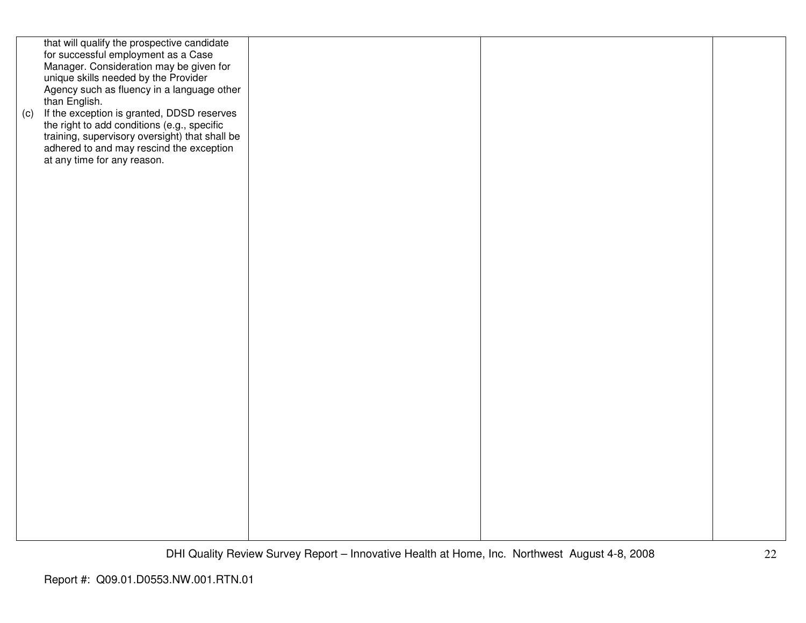| than English.<br>at any time for any reason. | that will qualify the prospective candidate<br>for successful employment as a Case<br>Manager. Consideration may be given for<br>unique skills needed by the Provider<br>Agency such as fluency in a language other<br>(c) If the exception is granted, DDSD reserves<br>the right to add conditions (e.g., specific<br>training, supervisory oversight) that shall be<br>adhered to and may rescind the exception |  |  |
|----------------------------------------------|--------------------------------------------------------------------------------------------------------------------------------------------------------------------------------------------------------------------------------------------------------------------------------------------------------------------------------------------------------------------------------------------------------------------|--|--|
|                                              |                                                                                                                                                                                                                                                                                                                                                                                                                    |  |  |
|                                              |                                                                                                                                                                                                                                                                                                                                                                                                                    |  |  |
|                                              |                                                                                                                                                                                                                                                                                                                                                                                                                    |  |  |